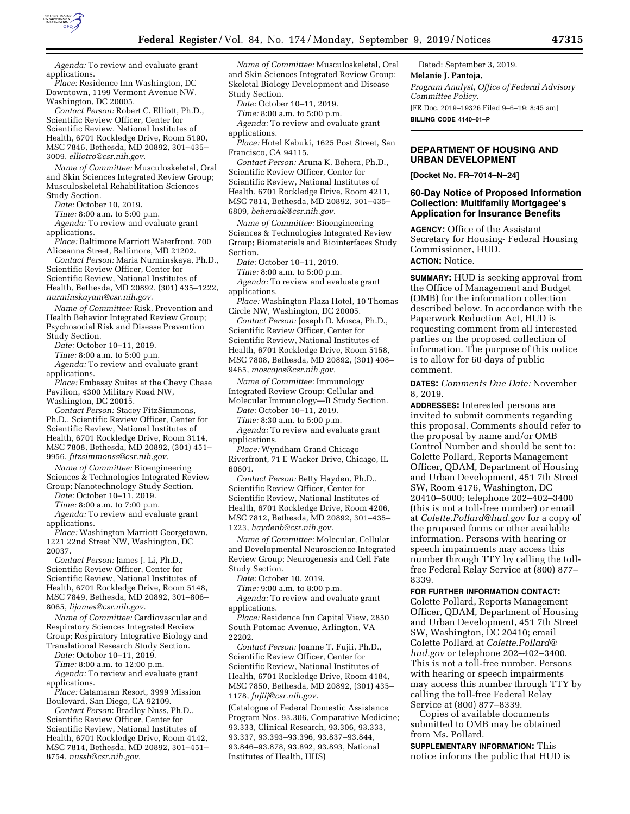

*Agenda:* To review and evaluate grant applications.

*Place:* Residence Inn Washington, DC Downtown, 1199 Vermont Avenue NW, Washington, DC 20005.

*Contact Person:* Robert C. Elliott, Ph.D., Scientific Review Officer, Center for Scientific Review, National Institutes of Health, 6701 Rockledge Drive, Room 5190, MSC 7846, Bethesda, MD 20892, 301–435– 3009, *[elliotro@csr.nih.gov.](mailto:elliotro@csr.nih.gov)* 

*Name of Committee:* Musculoskeletal, Oral and Skin Sciences Integrated Review Group; Musculoskeletal Rehabilitation Sciences Study Section.

*Date:* October 10, 2019.

*Time:* 8:00 a.m. to 5:00 p.m.

*Agenda:* To review and evaluate grant applications.

*Place:* Baltimore Marriott Waterfront, 700 Aliceanna Street, Baltimore, MD 21202.

*Contact Person:* Maria Nurminskaya, Ph.D., Scientific Review Officer, Center for Scientific Review, National Institutes of Health, Bethesda, MD 20892, (301) 435–1222, *[nurminskayam@csr.nih.gov.](mailto:nurminskayam@csr.nih.gov)* 

*Name of Committee:* Risk, Prevention and Health Behavior Integrated Review Group; Psychosocial Risk and Disease Prevention Study Section.

*Date:* October 10–11, 2019.

*Time:* 8:00 a.m. to 5:00 p.m.

*Agenda:* To review and evaluate grant applications.

*Place:* Embassy Suites at the Chevy Chase Pavilion, 4300 Military Road NW, Washington, DC 20015.

*Contact Person:* Stacey FitzSimmons, Ph.D., Scientific Review Officer, Center for Scientific Review, National Institutes of Health, 6701 Rockledge Drive, Room 3114, MSC 7808, Bethesda, MD 20892, (301) 451– 9956, *[fitzsimmonss@csr.nih.gov.](mailto:fitzsimmonss@csr.nih.gov)* 

*Name of Committee:* Bioengineering Sciences & Technologies Integrated Review Group; Nanotechnology Study Section.

*Date:* October 10–11, 2019.

*Time:* 8:00 a.m. to 7:00 p.m.

*Agenda:* To review and evaluate grant applications.

*Place:* Washington Marriott Georgetown, 1221 22nd Street NW, Washington, DC 20037.

*Contact Person:* James J. Li, Ph.D., Scientific Review Officer, Center for Scientific Review, National Institutes of Health, 6701 Rockledge Drive, Room 5148, MSC 7849, Bethesda, MD 20892, 301–806– 8065, *[lijames@csr.nih.gov.](mailto:lijames@csr.nih.gov)* 

*Name of Committee:* Cardiovascular and Respiratory Sciences Integrated Review Group; Respiratory Integrative Biology and Translational Research Study Section.

*Date:* October 10–11, 2019.

*Time:* 8:00 a.m. to 12:00 p.m. *Agenda:* To review and evaluate grant applications.

*Place:* Catamaran Resort, 3999 Mission Boulevard, San Diego, CA 92109.

*Contact Person*: Bradley Nuss, Ph.D., Scientific Review Officer, Center for Scientific Review, National Institutes of Health, 6701 Rockledge Drive, Room 4142, MSC 7814, Bethesda, MD 20892, 301–451– 8754, *[nussb@csr.nih.gov.](mailto:nussb@csr.nih.gov)* 

*Name of Committee:* Musculoskeletal, Oral and Skin Sciences Integrated Review Group; Skeletal Biology Development and Disease Study Section.

*Date:* October 10–11, 2019.

*Time:* 8:00 a.m. to 5:00 p.m.

*Agenda:* To review and evaluate grant applications.

*Place:* Hotel Kabuki, 1625 Post Street, San Francisco, CA 94115.

*Contact Person:* Aruna K. Behera, Ph.D., Scientific Review Officer, Center for Scientific Review, National Institutes of Health, 6701 Rockledge Drive, Room 4211, MSC 7814, Bethesda, MD 20892, 301–435– 6809, *[beheraak@csr.nih.gov.](mailto:beheraak@csr.nih.gov)* 

*Name of Committee:* Bioengineering Sciences & Technologies Integrated Review Group; Biomaterials and Biointerfaces Study Section.

*Date:* October 10–11, 2019.

*Time:* 8:00 a.m. to 5:00 p.m. *Agenda:* To review and evaluate grant applications.

*Place:* Washington Plaza Hotel, 10 Thomas Circle NW, Washington, DC 20005.

*Contact Person:* Joseph D. Mosca, Ph.D., Scientific Review Officer, Center for Scientific Review, National Institutes of Health, 6701 Rockledge Drive, Room 5158, MSC 7808, Bethesda, MD 20892, (301) 408– 9465, *[moscajos@csr.nih.gov.](mailto:moscajos@csr.nih.gov)* 

*Name of Committee:* Immunology Integrated Review Group; Cellular and

Molecular Immunology—B Study Section. *Date:* October 10–11, 2019.

*Time:* 8:30 a.m. to 5:00 p.m.

*Agenda:* To review and evaluate grant applications.

*Place:* Wyndham Grand Chicago Riverfront, 71 E Wacker Drive, Chicago, IL 60601.

*Contact Person:* Betty Hayden, Ph.D., Scientific Review Officer, Center for Scientific Review, National Institutes of Health, 6701 Rockledge Drive, Room 4206, MSC 7812, Bethesda, MD 20892, 301–435– 1223, *[haydenb@csr.nih.gov.](mailto:haydenb@csr.nih.gov)* 

*Name of Committee:* Molecular, Cellular and Developmental Neuroscience Integrated Review Group; Neurogenesis and Cell Fate Study Section.

*Date:* October 10, 2019.

*Time:* 9:00 a.m. to 8:00 p.m.

*Agenda:* To review and evaluate grant applications.

*Place:* Residence Inn Capital View, 2850 South Potomac Avenue, Arlington, VA 22202.

*Contact Person:* Joanne T. Fujii, Ph.D., Scientific Review Officer, Center for Scientific Review, National Institutes of Health, 6701 Rockledge Drive, Room 4184, MSC 7850, Bethesda, MD 20892, (301) 435– 1178, *[fujiij@csr.nih.gov.](mailto:fujiij@csr.nih.gov)* 

(Catalogue of Federal Domestic Assistance Program Nos. 93.306, Comparative Medicine; 93.333, Clinical Research, 93.306, 93.333, 93.337, 93.393–93.396, 93.837–93.844, 93.846–93.878, 93.892, 93.893, National Institutes of Health, HHS)

Dated: September 3, 2019. **Melanie J. Pantoja,**  *Program Analyst, Office of Federal Advisory Committee Policy.*  [FR Doc. 2019–19326 Filed 9–6–19; 8:45 am] **BILLING CODE 4140–01–P** 

# **DEPARTMENT OF HOUSING AND URBAN DEVELOPMENT**

**[Docket No. FR–7014–N–24]** 

# **60-Day Notice of Proposed Information Collection: Multifamily Mortgagee's Application for Insurance Benefits**

**AGENCY:** Office of the Assistant Secretary for Housing- Federal Housing Commissioner, HUD.

**ACTION:** Notice.

**SUMMARY:** HUD is seeking approval from the Office of Management and Budget (OMB) for the information collection described below. In accordance with the Paperwork Reduction Act, HUD is requesting comment from all interested parties on the proposed collection of information. The purpose of this notice is to allow for 60 days of public comment.

## **DATES:** *Comments Due Date:* November 8, 2019.

**ADDRESSES:** Interested persons are invited to submit comments regarding this proposal. Comments should refer to the proposal by name and/or OMB Control Number and should be sent to: Colette Pollard, Reports Management Officer, QDAM, Department of Housing and Urban Development, 451 7th Street SW, Room 4176, Washington, DC 20410–5000; telephone 202–402–3400 (this is not a toll-free number) or email at *[Colette.Pollard@hud.gov](mailto:Colette.Pollard@hud.gov)* for a copy of the proposed forms or other available information. Persons with hearing or speech impairments may access this number through TTY by calling the tollfree Federal Relay Service at (800) 877– 8339.

#### **FOR FURTHER INFORMATION CONTACT:**

Colette Pollard, Reports Management Officer, QDAM, Department of Housing and Urban Development, 451 7th Street SW, Washington, DC 20410; email Colette Pollard at *[Colette.Pollard@](mailto:Colette.Pollard@hud.gov) [hud.gov](mailto:Colette.Pollard@hud.gov)* or telephone 202–402–3400. This is not a toll-free number. Persons with hearing or speech impairments may access this number through TTY by calling the toll-free Federal Relay Service at (800) 877–8339.

Copies of available documents submitted to OMB may be obtained from Ms. Pollard.

**SUPPLEMENTARY INFORMATION:** This notice informs the public that HUD is